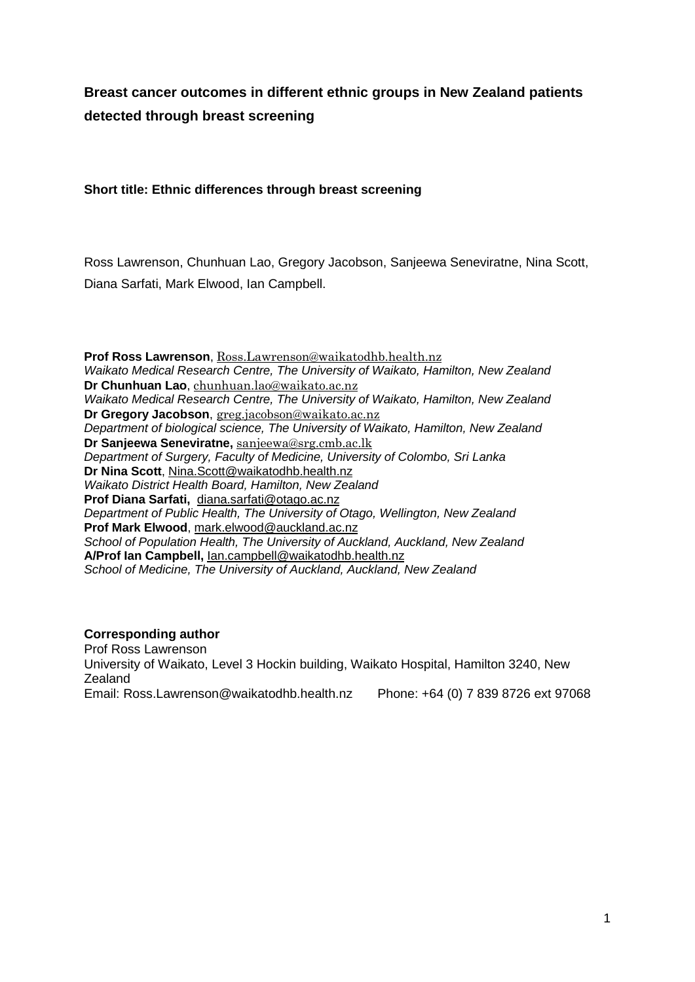# **Breast cancer outcomes in different ethnic groups in New Zealand patients detected through breast screening**

# **Short title: Ethnic differences through breast screening**

Ross Lawrenson, Chunhuan Lao, Gregory Jacobson, Sanjeewa Seneviratne, Nina Scott, Diana Sarfati, Mark Elwood, Ian Campbell.

**Prof Ross Lawrenson**, [Ross.Lawrenson@waikatodhb.health.nz](mailto:Ross.Lawrenson@waikatodhb.health.nz) *Waikato Medical Research Centre, The University of Waikato, Hamilton, New Zealand* **Dr Chunhuan Lao**, [chunhuan.lao@waikato.ac.nz](mailto:chunhuan.lao@waikato.ac.nz) *Waikato Medical Research Centre, The University of Waikato, Hamilton, New Zealand* **Dr Gregory Jacobson**, [greg.jacobson@waikato.ac.nz](mailto:greg.jacobson@waikato.ac.nz) *Department of biological science, The University of Waikato, Hamilton, New Zealand* **Dr Sanjeewa Seneviratne,** [sanjeewa@srg.cmb.ac.lk](mailto:sanjeewa@srg.cmb.ac.lk) *Department of Surgery, Faculty of Medicine, University of Colombo, Sri Lanka* **Dr Nina Scott**, [Nina.Scott@waikatodhb.health.nz](mailto:Nina.Scott@waikatodhb.health.nz) *Waikato District Health Board, Hamilton, New Zealand* **Prof Diana Sarfati,** [diana.sarfati@otago.ac.nz](mailto:diana.sarfati@otago.ac.nz) *Department of Public Health, The University of Otago, Wellington, New Zealand* **Prof Mark Elwood**, [mark.elwood@auckland.ac.nz](mailto:mark.elwood@auckland.ac.nz) *School of Population Health, The University of Auckland, Auckland, New Zealand* **A/Prof Ian Campbell,** [Ian.campbell@waikatodhb.health.nz](mailto:Ian.campbell@waikatodhb.health.nz) *School of Medicine, The University of Auckland, Auckland, New Zealand*

# **Corresponding author**

Prof Ross Lawrenson University of Waikato, Level 3 Hockin building, Waikato Hospital, Hamilton 3240, New Zealand Email: [Ross.Lawrenson@waikatodhb.health.nz](mailto:Ross.Lawrenson@waikatodhb.health.nz) Phone: +64 (0) 7 839 8726 ext 97068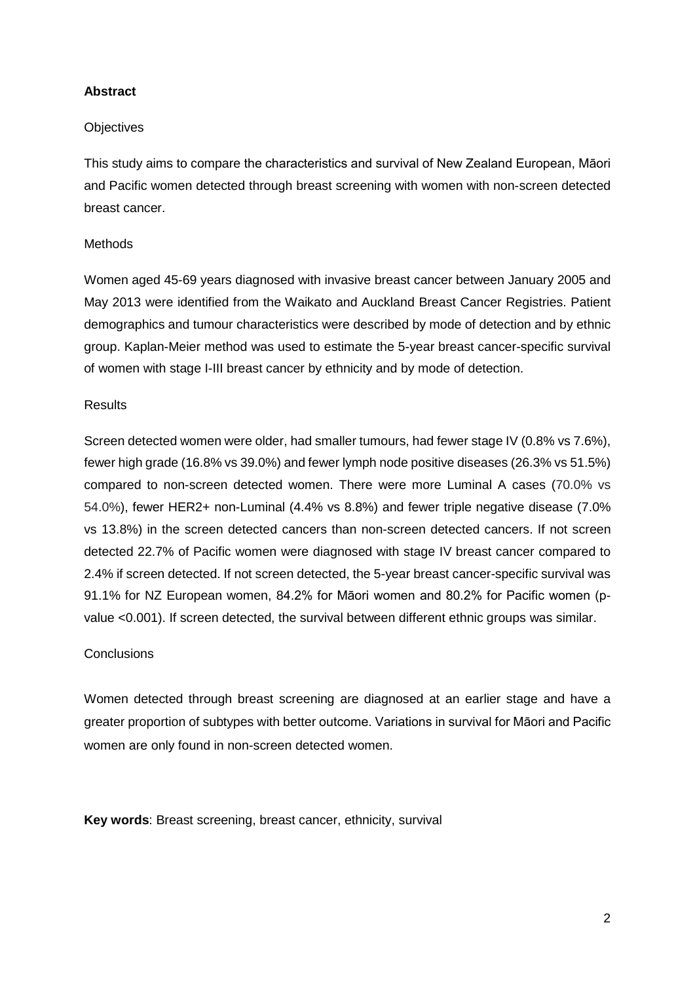## **Abstract**

#### **Objectives**

This study aims to compare the characteristics and survival of New Zealand European, Māori and Pacific women detected through breast screening with women with non-screen detected breast cancer.

#### **Methods**

Women aged 45-69 years diagnosed with invasive breast cancer between January 2005 and May 2013 were identified from the Waikato and Auckland Breast Cancer Registries. Patient demographics and tumour characteristics were described by mode of detection and by ethnic group. Kaplan-Meier method was used to estimate the 5-year breast cancer-specific survival of women with stage I-III breast cancer by ethnicity and by mode of detection.

#### **Results**

Screen detected women were older, had smaller tumours, had fewer stage IV (0.8% vs 7.6%), fewer high grade (16.8% vs 39.0%) and fewer lymph node positive diseases (26.3% vs 51.5%) compared to non-screen detected women. There were more Luminal A cases (70.0% vs 54.0%), fewer HER2+ non-Luminal (4.4% vs 8.8%) and fewer triple negative disease (7.0% vs 13.8%) in the screen detected cancers than non-screen detected cancers. If not screen detected 22.7% of Pacific women were diagnosed with stage IV breast cancer compared to 2.4% if screen detected. If not screen detected, the 5-year breast cancer-specific survival was 91.1% for NZ European women, 84.2% for Māori women and 80.2% for Pacific women (pvalue <0.001). If screen detected, the survival between different ethnic groups was similar.

#### **Conclusions**

Women detected through breast screening are diagnosed at an earlier stage and have a greater proportion of subtypes with better outcome. Variations in survival for Māori and Pacific women are only found in non-screen detected women.

**Key words**: Breast screening, breast cancer, ethnicity, survival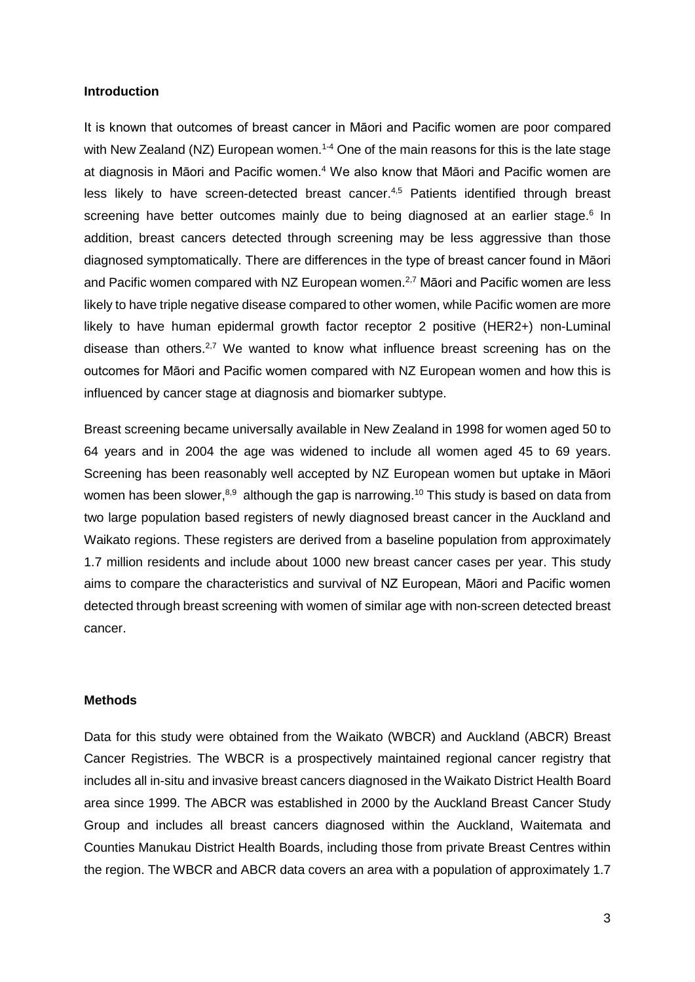#### **Introduction**

It is known that outcomes of breast cancer in Māori and Pacific women are poor compared with New Zealand (NZ) European women.<sup>1-4</sup> One of the main reasons for this is the late stage at diagnosis in Māori and Pacific women. <sup>4</sup> We also know that Māori and Pacific women are less likely to have screen-detected breast cancer.<sup>4,5</sup> Patients identified through breast screening have better outcomes mainly due to being diagnosed at an earlier stage.<sup>6</sup> In addition, breast cancers detected through screening may be less aggressive than those diagnosed symptomatically. There are differences in the type of breast cancer found in Māori and Pacific women compared with NZ European women.<sup>2,7</sup> Māori and Pacific women are less likely to have triple negative disease compared to other women, while Pacific women are more likely to have human epidermal growth factor receptor 2 positive (HER2+) non-Luminal disease than others.<sup>2,7</sup> We wanted to know what influence breast screening has on the outcomes for Māori and Pacific women compared with NZ European women and how this is influenced by cancer stage at diagnosis and biomarker subtype.

Breast screening became universally available in New Zealand in 1998 for women aged 50 to 64 years and in 2004 the age was widened to include all women aged 45 to 69 years. Screening has been reasonably well accepted by NZ European women but uptake in Māori women has been slower,<sup>8,9</sup> although the gap is narrowing.<sup>10</sup> This study is based on data from two large population based registers of newly diagnosed breast cancer in the Auckland and Waikato regions. These registers are derived from a baseline population from approximately 1.7 million residents and include about 1000 new breast cancer cases per year. This study aims to compare the characteristics and survival of NZ European, Māori and Pacific women detected through breast screening with women of similar age with non-screen detected breast cancer.

#### **Methods**

Data for this study were obtained from the Waikato (WBCR) and Auckland (ABCR) Breast Cancer Registries. The WBCR is a prospectively maintained regional cancer registry that includes all in-situ and invasive breast cancers diagnosed in the Waikato District Health Board area since 1999. The ABCR was established in 2000 by the Auckland Breast Cancer Study Group and includes all breast cancers diagnosed within the Auckland, Waitemata and Counties Manukau District Health Boards, including those from private Breast Centres within the region. The WBCR and ABCR data covers an area with a population of approximately 1.7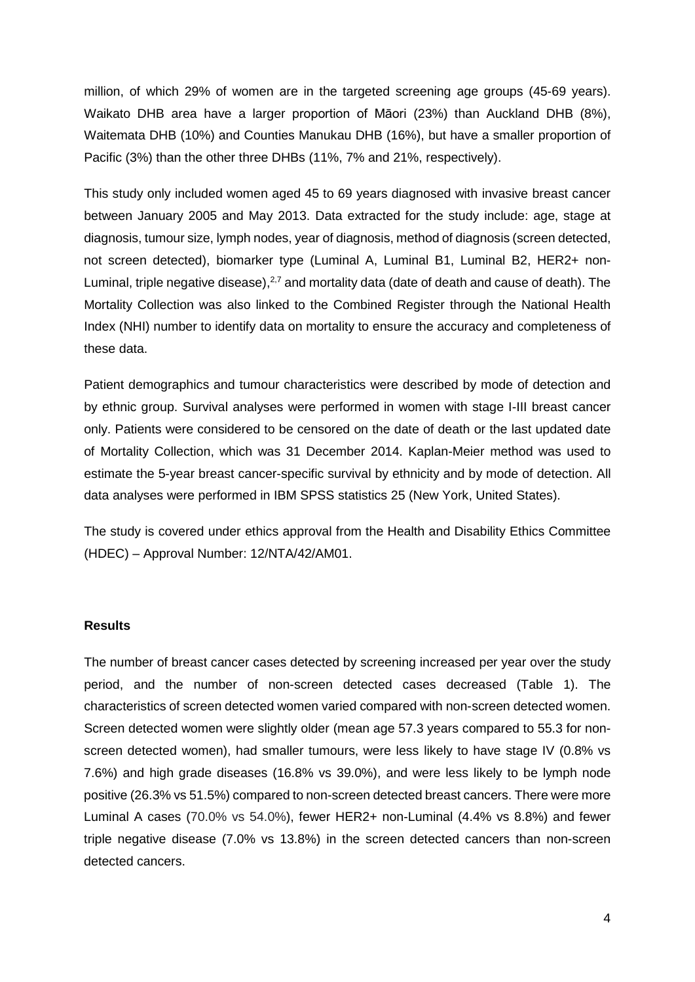million, of which 29% of women are in the targeted screening age groups (45-69 years). Waikato DHB area have a larger proportion of Māori (23%) than Auckland DHB (8%), Waitemata DHB (10%) and Counties Manukau DHB (16%), but have a smaller proportion of Pacific (3%) than the other three DHBs (11%, 7% and 21%, respectively).

This study only included women aged 45 to 69 years diagnosed with invasive breast cancer between January 2005 and May 2013. Data extracted for the study include: age, stage at diagnosis, tumour size, lymph nodes, year of diagnosis, method of diagnosis (screen detected, not screen detected), biomarker type (Luminal A, Luminal B1, Luminal B2, HER2+ non-Luminal, triple negative disease),<sup>2,7</sup> and mortality data (date of death and cause of death). The Mortality Collection was also linked to the Combined Register through the National Health Index (NHI) number to identify data on mortality to ensure the accuracy and completeness of these data.

Patient demographics and tumour characteristics were described by mode of detection and by ethnic group. Survival analyses were performed in women with stage I-III breast cancer only. Patients were considered to be censored on the date of death or the last updated date of Mortality Collection, which was 31 December 2014. Kaplan-Meier method was used to estimate the 5-year breast cancer-specific survival by ethnicity and by mode of detection. All data analyses were performed in IBM SPSS statistics 25 (New York, United States).

The study is covered under ethics approval from the Health and Disability Ethics Committee (HDEC) – Approval Number: 12/NTA/42/AM01.

#### **Results**

The number of breast cancer cases detected by screening increased per year over the study period, and the number of non-screen detected cases decreased (Table 1). The characteristics of screen detected women varied compared with non-screen detected women. Screen detected women were slightly older (mean age 57.3 years compared to 55.3 for nonscreen detected women), had smaller tumours, were less likely to have stage IV (0.8% vs 7.6%) and high grade diseases (16.8% vs 39.0%), and were less likely to be lymph node positive (26.3% vs 51.5%) compared to non-screen detected breast cancers. There were more Luminal A cases (70.0% vs 54.0%), fewer HER2+ non-Luminal (4.4% vs 8.8%) and fewer triple negative disease (7.0% vs 13.8%) in the screen detected cancers than non-screen detected cancers.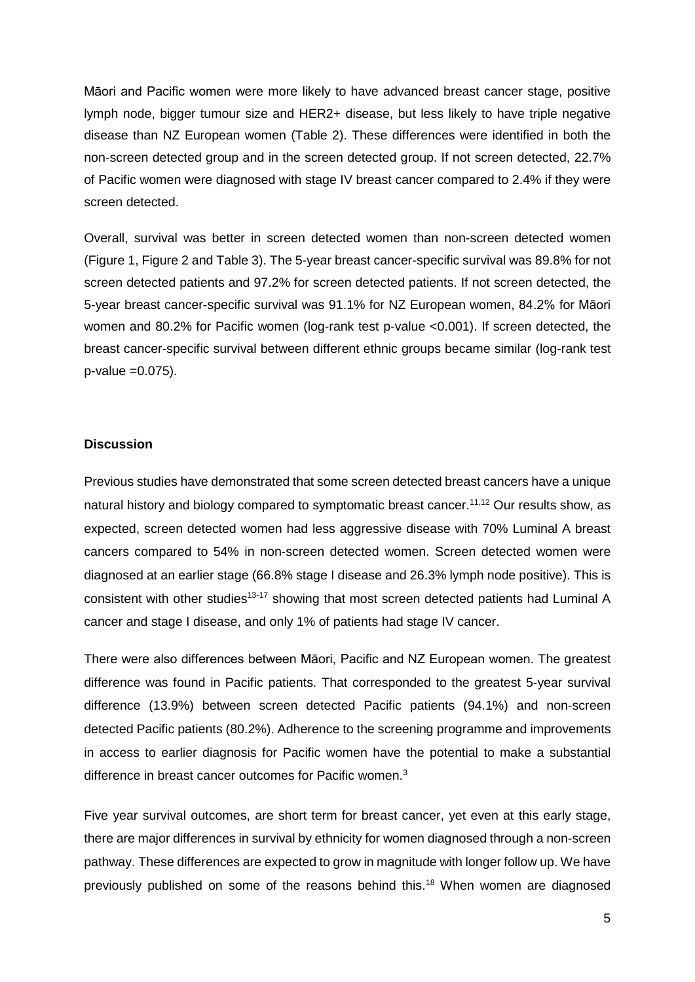Māori and Pacific women were more likely to have advanced breast cancer stage, positive lymph node, bigger tumour size and HER2+ disease, but less likely to have triple negative disease than NZ European women (Table 2). These differences were identified in both the non-screen detected group and in the screen detected group. If not screen detected, 22.7% of Pacific women were diagnosed with stage IV breast cancer compared to 2.4% if they were screen detected.

Overall, survival was better in screen detected women than non-screen detected women (Figure 1, Figure 2 and Table 3). The 5-year breast cancer-specific survival was 89.8% for not screen detected patients and 97.2% for screen detected patients. If not screen detected, the 5-year breast cancer-specific survival was 91.1% for NZ European women, 84.2% for Māori women and 80.2% for Pacific women (log-rank test p-value <0.001). If screen detected, the breast cancer-specific survival between different ethnic groups became similar (log-rank test p-value =0.075).

#### **Discussion**

Previous studies have demonstrated that some screen detected breast cancers have a unique natural history and biology compared to symptomatic breast cancer.<sup>11,12</sup> Our results show, as expected, screen detected women had less aggressive disease with 70% Luminal A breast cancers compared to 54% in non-screen detected women. Screen detected women were diagnosed at an earlier stage (66.8% stage I disease and 26.3% lymph node positive). This is consistent with other studies<sup>13-17</sup> showing that most screen detected patients had Luminal A cancer and stage I disease, and only 1% of patients had stage IV cancer.

There were also differences between Māori, Pacific and NZ European women. The greatest difference was found in Pacific patients. That corresponded to the greatest 5-year survival difference (13.9%) between screen detected Pacific patients (94.1%) and non-screen detected Pacific patients (80.2%). Adherence to the screening programme and improvements in access to earlier diagnosis for Pacific women have the potential to make a substantial difference in breast cancer outcomes for Pacific women.<sup>3</sup>

Five year survival outcomes, are short term for breast cancer, yet even at this early stage, there are major differences in survival by ethnicity for women diagnosed through a non-screen pathway. These differences are expected to grow in magnitude with longer follow up. We have previously published on some of the reasons behind this.18 When women are diagnosed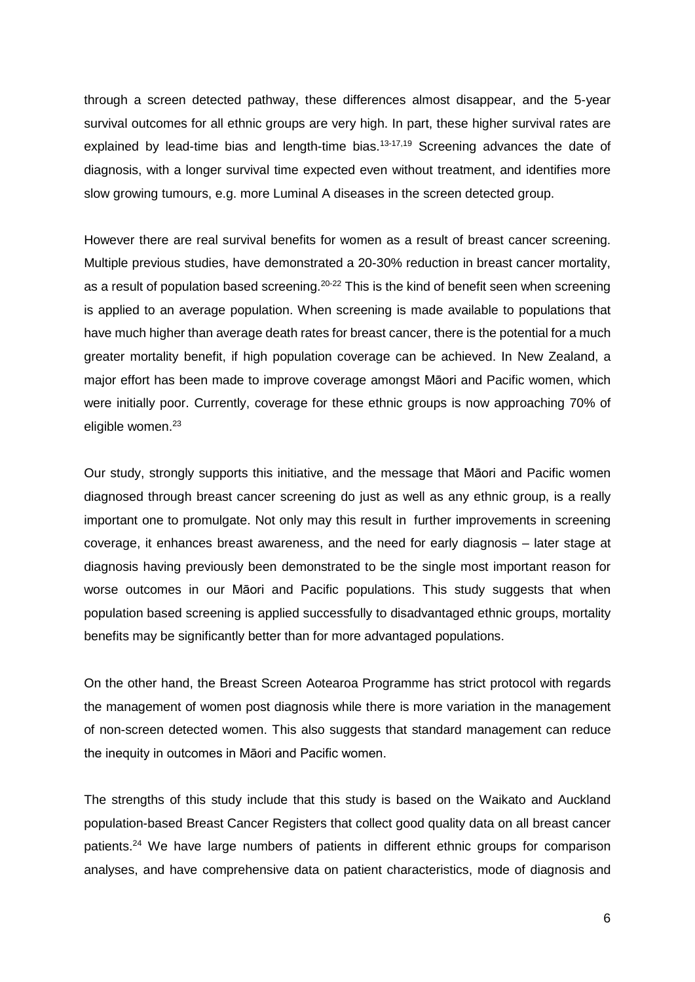through a screen detected pathway, these differences almost disappear, and the 5-year survival outcomes for all ethnic groups are very high. In part, these higher survival rates are explained by lead-time bias and length-time bias.<sup>13-17,19</sup> Screening advances the date of diagnosis, with a longer survival time expected even without treatment, and identifies more slow growing tumours, e.g. more Luminal A diseases in the screen detected group.

However there are real survival benefits for women as a result of breast cancer screening. Multiple previous studies, have demonstrated a 20-30% reduction in breast cancer mortality, as a result of population based screening.<sup>20-22</sup> This is the kind of benefit seen when screening is applied to an average population. When screening is made available to populations that have much higher than average death rates for breast cancer, there is the potential for a much greater mortality benefit, if high population coverage can be achieved. In New Zealand, a major effort has been made to improve coverage amongst Māori and Pacific women, which were initially poor. Currently, coverage for these ethnic groups is now approaching 70% of eligible women. 23

Our study, strongly supports this initiative, and the message that Māori and Pacific women diagnosed through breast cancer screening do just as well as any ethnic group, is a really important one to promulgate. Not only may this result in further improvements in screening coverage, it enhances breast awareness, and the need for early diagnosis – later stage at diagnosis having previously been demonstrated to be the single most important reason for worse outcomes in our Māori and Pacific populations. This study suggests that when population based screening is applied successfully to disadvantaged ethnic groups, mortality benefits may be significantly better than for more advantaged populations.

On the other hand, the Breast Screen Aotearoa Programme has strict protocol with regards the management of women post diagnosis while there is more variation in the management of non-screen detected women. This also suggests that standard management can reduce the inequity in outcomes in Māori and Pacific women.

The strengths of this study include that this study is based on the Waikato and Auckland population-based Breast Cancer Registers that collect good quality data on all breast cancer patients.<sup>24</sup> We have large numbers of patients in different ethnic groups for comparison analyses, and have comprehensive data on patient characteristics, mode of diagnosis and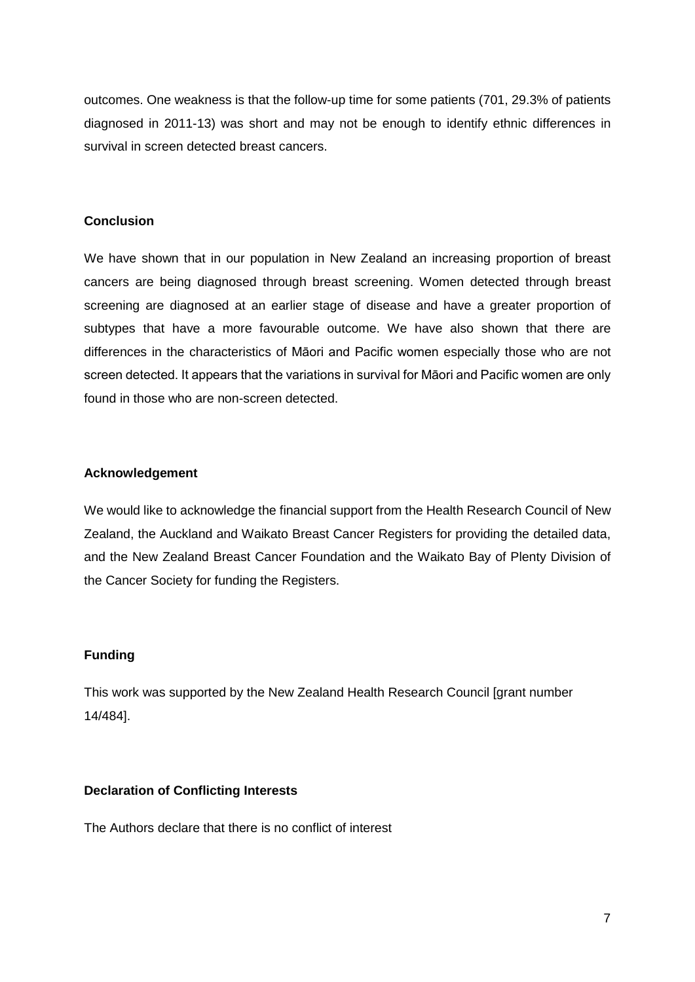outcomes. One weakness is that the follow-up time for some patients (701, 29.3% of patients diagnosed in 2011-13) was short and may not be enough to identify ethnic differences in survival in screen detected breast cancers.

## **Conclusion**

We have shown that in our population in New Zealand an increasing proportion of breast cancers are being diagnosed through breast screening. Women detected through breast screening are diagnosed at an earlier stage of disease and have a greater proportion of subtypes that have a more favourable outcome. We have also shown that there are differences in the characteristics of Māori and Pacific women especially those who are not screen detected. It appears that the variations in survival for Māori and Pacific women are only found in those who are non-screen detected.

#### **Acknowledgement**

We would like to acknowledge the financial support from the Health Research Council of New Zealand, the Auckland and Waikato Breast Cancer Registers for providing the detailed data, and the New Zealand Breast Cancer Foundation and the Waikato Bay of Plenty Division of the Cancer Society for funding the Registers.

## **Funding**

This work was supported by the New Zealand Health Research Council [grant number 14/484].

#### **Declaration of Conflicting Interests**

The Authors declare that there is no conflict of interest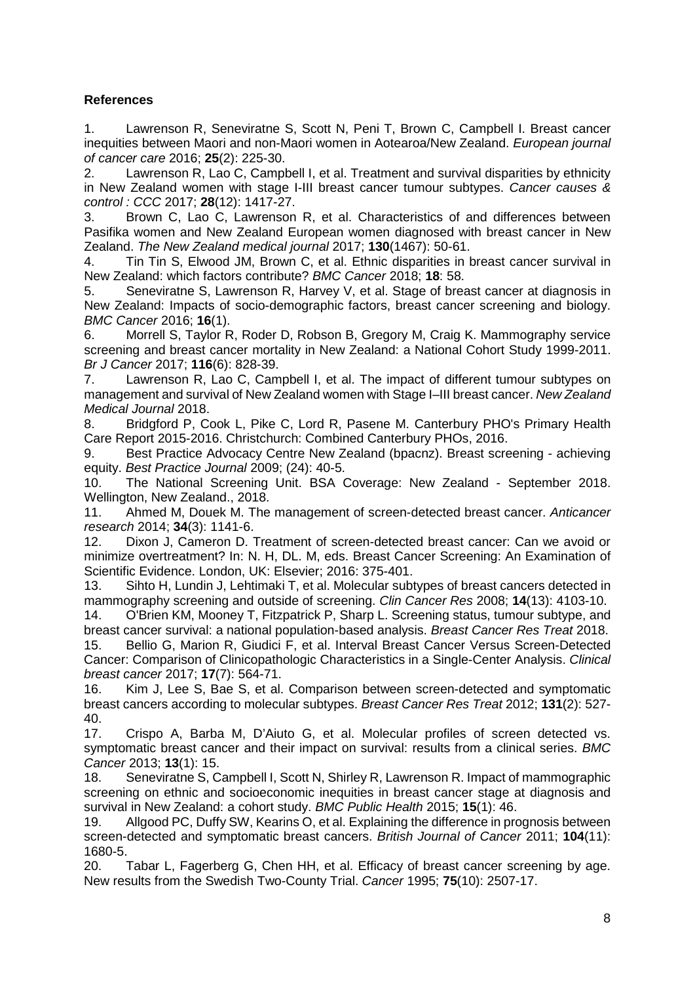# **References**

1. Lawrenson R, Seneviratne S, Scott N, Peni T, Brown C, Campbell I. Breast cancer inequities between Maori and non-Maori women in Aotearoa/New Zealand. *European journal of cancer care* 2016; **25**(2): 225-30.

2. Lawrenson R, Lao C, Campbell I, et al. Treatment and survival disparities by ethnicity in New Zealand women with stage I-III breast cancer tumour subtypes. *Cancer causes & control : CCC* 2017; **28**(12): 1417-27.

3. Brown C, Lao C, Lawrenson R, et al. Characteristics of and differences between Pasifika women and New Zealand European women diagnosed with breast cancer in New Zealand. *The New Zealand medical journal* 2017; **130**(1467): 50-61.

4. Tin Tin S, Elwood JM, Brown C, et al. Ethnic disparities in breast cancer survival in New Zealand: which factors contribute? *BMC Cancer* 2018; **18**: 58.

5. Seneviratne S, Lawrenson R, Harvey V, et al. Stage of breast cancer at diagnosis in New Zealand: Impacts of socio-demographic factors, breast cancer screening and biology. *BMC Cancer* 2016; **16**(1).

6. Morrell S, Taylor R, Roder D, Robson B, Gregory M, Craig K. Mammography service screening and breast cancer mortality in New Zealand: a National Cohort Study 1999-2011. *Br J Cancer* 2017; **116**(6): 828-39.

7. Lawrenson R, Lao C, Campbell I, et al. The impact of different tumour subtypes on management and survival of New Zealand women with Stage I–III breast cancer. *New Zealand Medical Journal* 2018.

8. Bridgford P, Cook L, Pike C, Lord R, Pasene M. Canterbury PHO's Primary Health Care Report 2015-2016. Christchurch: Combined Canterbury PHOs, 2016.

9. Best Practice Advocacy Centre New Zealand (bpacnz). Breast screening - achieving equity. *Best Practice Journal* 2009; (24): 40-5.

10. The National Screening Unit. BSA Coverage: New Zealand - September 2018. Wellington, New Zealand., 2018.

11. Ahmed M, Douek M. The management of screen-detected breast cancer. *Anticancer research* 2014; **34**(3): 1141-6.

12. Dixon J, Cameron D. Treatment of screen-detected breast cancer: Can we avoid or minimize overtreatment? In: N. H, DL. M, eds. Breast Cancer Screening: An Examination of Scientific Evidence. London, UK: Elsevier; 2016: 375-401.

13. Sihto H, Lundin J, Lehtimaki T, et al. Molecular subtypes of breast cancers detected in mammography screening and outside of screening. *Clin Cancer Res* 2008; **14**(13): 4103-10.

14. O'Brien KM, Mooney T, Fitzpatrick P, Sharp L. Screening status, tumour subtype, and breast cancer survival: a national population-based analysis. *Breast Cancer Res Treat* 2018.

15. Bellio G, Marion R, Giudici F, et al. Interval Breast Cancer Versus Screen-Detected Cancer: Comparison of Clinicopathologic Characteristics in a Single-Center Analysis. *Clinical breast cancer* 2017; **17**(7): 564-71.

16. Kim J, Lee S, Bae S, et al. Comparison between screen-detected and symptomatic breast cancers according to molecular subtypes. *Breast Cancer Res Treat* 2012; **131**(2): 527- 40.

17. Crispo A, Barba M, D'Aiuto G, et al. Molecular profiles of screen detected vs. symptomatic breast cancer and their impact on survival: results from a clinical series. *BMC Cancer* 2013; **13**(1): 15.

18. Seneviratne S, Campbell I, Scott N, Shirley R, Lawrenson R. Impact of mammographic screening on ethnic and socioeconomic inequities in breast cancer stage at diagnosis and survival in New Zealand: a cohort study. *BMC Public Health* 2015; **15**(1): 46.

19. Allgood PC, Duffy SW, Kearins O, et al. Explaining the difference in prognosis between screen-detected and symptomatic breast cancers. *British Journal of Cancer* 2011; **104**(11): 1680-5.<br>20.

Tabar L, Fagerberg G, Chen HH, et al. Efficacy of breast cancer screening by age. New results from the Swedish Two-County Trial. *Cancer* 1995; **75**(10): 2507-17.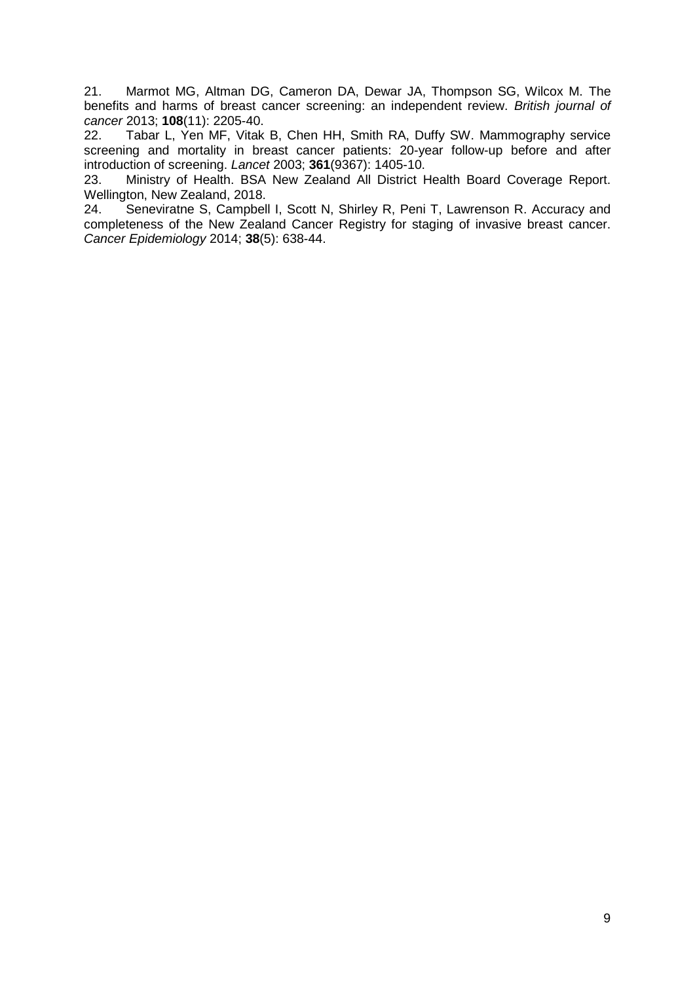21. Marmot MG, Altman DG, Cameron DA, Dewar JA, Thompson SG, Wilcox M. The benefits and harms of breast cancer screening: an independent review. *British journal of cancer* 2013; **108**(11): 2205-40.

Tabar L, Yen MF, Vitak B, Chen HH, Smith RA, Duffy SW. Mammography service screening and mortality in breast cancer patients: 20-year follow-up before and after introduction of screening. *Lancet* 2003; **361**(9367): 1405-10.

23. Ministry of Health. BSA New Zealand All District Health Board Coverage Report. Wellington, New Zealand, 2018.

24. Seneviratne S, Campbell I, Scott N, Shirley R, Peni T, Lawrenson R. Accuracy and completeness of the New Zealand Cancer Registry for staging of invasive breast cancer. *Cancer Epidemiology* 2014; **38**(5): 638-44.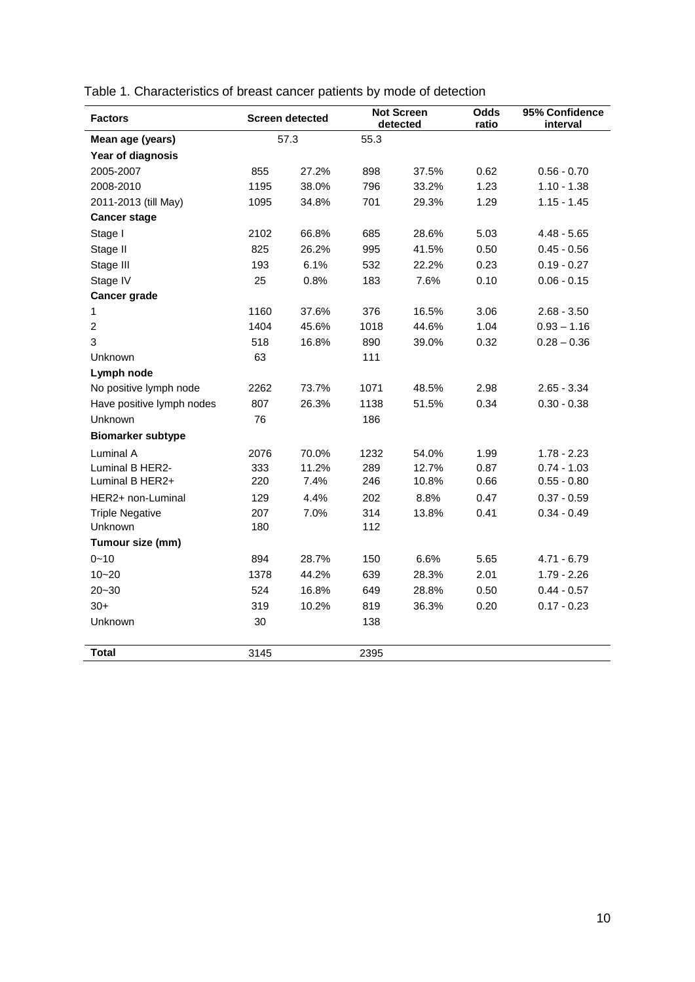| <b>Factors</b>            | <b>Screen detected</b> |       |      | <b>Not Screen</b><br>detected |      | 95% Confidence<br>interval |  |
|---------------------------|------------------------|-------|------|-------------------------------|------|----------------------------|--|
| Mean age (years)          |                        | 57.3  | 55.3 |                               |      |                            |  |
| Year of diagnosis         |                        |       |      |                               |      |                            |  |
| 2005-2007                 | 855                    | 27.2% | 898  | 37.5%                         | 0.62 | $0.56 - 0.70$              |  |
| 2008-2010                 | 1195                   | 38.0% | 796  | 33.2%                         | 1.23 | $1.10 - 1.38$              |  |
| 2011-2013 (till May)      | 1095                   | 34.8% | 701  | 29.3%                         | 1.29 | $1.15 - 1.45$              |  |
| <b>Cancer stage</b>       |                        |       |      |                               |      |                            |  |
| Stage I                   | 2102                   | 66.8% | 685  | 28.6%                         | 5.03 | $4.48 - 5.65$              |  |
| Stage II                  | 825                    | 26.2% | 995  | 41.5%                         | 0.50 | $0.45 - 0.56$              |  |
| Stage III                 | 193                    | 6.1%  | 532  | 22.2%                         | 0.23 | $0.19 - 0.27$              |  |
| Stage IV                  | 25                     | 0.8%  | 183  | 7.6%                          | 0.10 | $0.06 - 0.15$              |  |
| Cancer grade              |                        |       |      |                               |      |                            |  |
| 1                         | 1160                   | 37.6% | 376  | 16.5%                         | 3.06 | $2.68 - 3.50$              |  |
| $\overline{2}$            | 1404                   | 45.6% | 1018 | 44.6%                         | 1.04 | $0.93 - 1.16$              |  |
| 3                         | 518                    | 16.8% | 890  | 39.0%                         | 0.32 | $0.28 - 0.36$              |  |
| Unknown                   | 63                     |       | 111  |                               |      |                            |  |
| Lymph node                |                        |       |      |                               |      |                            |  |
| No positive lymph node    | 2262                   | 73.7% | 1071 | 48.5%                         | 2.98 | $2.65 - 3.34$              |  |
| Have positive lymph nodes | 807                    | 26.3% | 1138 | 51.5%                         | 0.34 | $0.30 - 0.38$              |  |
| Unknown                   | 76                     |       | 186  |                               |      |                            |  |
| <b>Biomarker subtype</b>  |                        |       |      |                               |      |                            |  |
| Luminal A                 | 2076                   | 70.0% | 1232 | 54.0%                         | 1.99 | $1.78 - 2.23$              |  |
| Luminal B HER2-           | 333                    | 11.2% | 289  | 12.7%                         | 0.87 | $0.74 - 1.03$              |  |
| Luminal B HER2+           | 220                    | 7.4%  | 246  | 10.8%                         | 0.66 | $0.55 - 0.80$              |  |
| HER2+ non-Luminal         | 129                    | 4.4%  | 202  | 8.8%                          | 0.47 | $0.37 - 0.59$              |  |
| <b>Triple Negative</b>    | 207                    | 7.0%  | 314  | 13.8%                         | 0.41 | $0.34 - 0.49$              |  |
| Unknown                   | 180                    |       | 112  |                               |      |                            |  |
| Tumour size (mm)          |                        |       |      |                               |      |                            |  |
| $0 - 10$                  | 894                    | 28.7% | 150  | 6.6%                          | 5.65 | $4.71 - 6.79$              |  |
| $10 - 20$                 | 1378                   | 44.2% | 639  | 28.3%                         | 2.01 | $1.79 - 2.26$              |  |
| $20 - 30$                 | 524                    | 16.8% | 649  | 28.8%                         | 0.50 | $0.44 - 0.57$              |  |
| $30+$                     | 319                    | 10.2% | 819  | 36.3%                         | 0.20 | $0.17 - 0.23$              |  |
| Unknown                   | 30                     |       | 138  |                               |      |                            |  |
| <b>Total</b>              | 3145                   |       | 2395 |                               |      |                            |  |

Table 1. Characteristics of breast cancer patients by mode of detection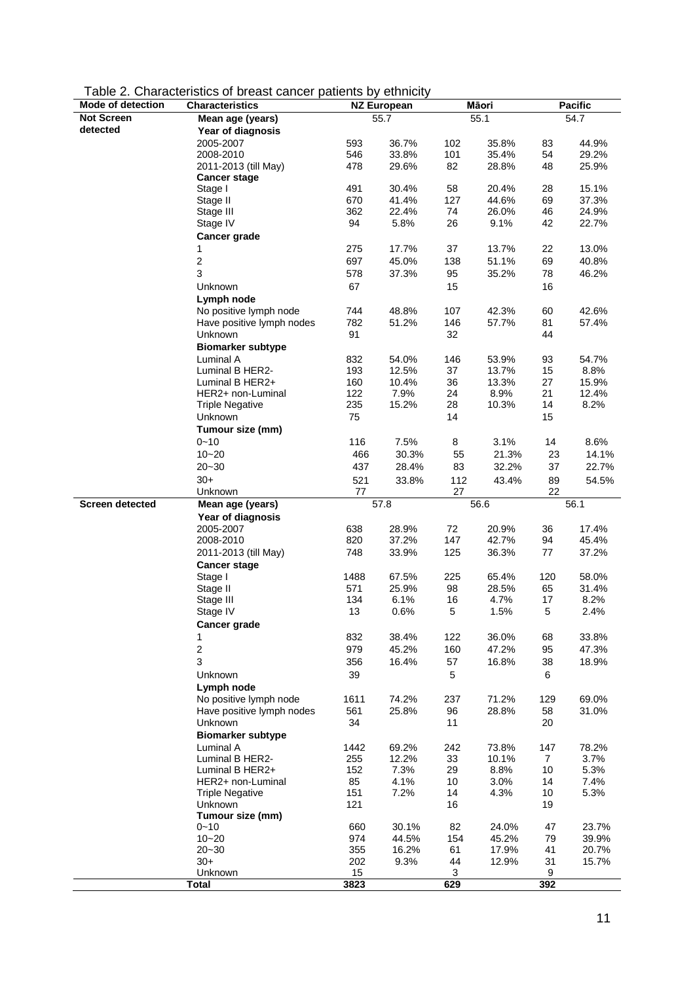| Table 2. Characteristics of breast cancer patients by ethnicity |  |  |
|-----------------------------------------------------------------|--|--|
|-----------------------------------------------------------------|--|--|

| Mode of detection      | <b>Characteristics</b>             | <b>NZ European</b> |              | Māori    |              | <b>Pacific</b> |              |
|------------------------|------------------------------------|--------------------|--------------|----------|--------------|----------------|--------------|
| <b>Not Screen</b>      | Mean age (years)                   | 55.7               |              | 55.1     |              | 54.7           |              |
| detected               | Year of diagnosis                  |                    |              |          |              |                |              |
|                        | 2005-2007                          | 593                | 36.7%        | 102      | 35.8%        | 83             | 44.9%        |
|                        | 2008-2010                          | 546                | 33.8%        | 101      | 35.4%        | 54             | 29.2%        |
|                        | 2011-2013 (till May)               | 478                | 29.6%        | 82       | 28.8%        | 48             | 25.9%        |
|                        | <b>Cancer stage</b>                |                    |              |          |              |                |              |
|                        | Stage I                            | 491                | 30.4%        | 58       | 20.4%        | 28             | 15.1%        |
|                        | Stage II                           | 670                | 41.4%        | 127      | 44.6%        | 69             | 37.3%        |
|                        | Stage III                          | 362                | 22.4%        | 74       | 26.0%        | 46             | 24.9%        |
|                        | Stage IV                           | 94                 | 5.8%         | 26       | 9.1%         | 42             | 22.7%        |
|                        | <b>Cancer grade</b>                |                    |              |          |              |                |              |
|                        | 1                                  | 275                | 17.7%        | 37       | 13.7%        | 22             | 13.0%        |
|                        | $\boldsymbol{2}$                   | 697                | 45.0%        | 138      | 51.1%        | 69             | 40.8%        |
|                        | 3                                  | 578                | 37.3%        | 95       | 35.2%        | 78             | 46.2%        |
|                        | Unknown                            | 67                 |              | 15       |              | 16             |              |
|                        | Lymph node                         |                    |              |          |              |                |              |
|                        | No positive lymph node             | 744                | 48.8%        | 107      | 42.3%        | 60             | 42.6%        |
|                        | Have positive lymph nodes          | 782                | 51.2%        | 146      | 57.7%        | 81             | 57.4%        |
|                        | Unknown                            | 91                 |              | 32       |              | 44             |              |
|                        | <b>Biomarker subtype</b>           |                    |              |          |              |                |              |
|                        | Luminal A                          | 832                | 54.0%        | 146      | 53.9%        | 93             | 54.7%        |
|                        | Luminal B HER2-                    | 193                | 12.5%        | 37       | 13.7%        | 15             | 8.8%         |
|                        | Luminal B HER2+                    | 160                | 10.4%        | 36       | 13.3%        | 27             | 15.9%        |
|                        | HER2+ non-Luminal                  | 122                | 7.9%         | 24       | 8.9%         | 21             | 12.4%        |
|                        | <b>Triple Negative</b>             | 235                | 15.2%        | 28       | 10.3%        | 14             | 8.2%         |
|                        | Unknown                            | 75                 |              | 14       |              | 15             |              |
|                        | Tumour size (mm)                   |                    |              |          |              |                |              |
|                        | $0 - 10$                           | 116                | 7.5%         | 8        | 3.1%         | 14             | 8.6%         |
|                        | $10 - 20$                          | 466                | 30.3%        | 55       | 21.3%        | 23             | 14.1%        |
|                        | $20 - 30$                          | 437                | 28.4%        | 83       | 32.2%        | 37             | 22.7%        |
|                        | $30+$                              | 521                |              | 112      |              | 89             |              |
|                        | Unknown                            | 77                 | 33.8%        | 27       | 43.4%        | 22             | 54.5%        |
| <b>Screen detected</b> | Mean age (years)                   |                    | 57.8         |          | 56.6         |                | 56.1         |
|                        | Year of diagnosis                  |                    |              |          |              |                |              |
|                        | 2005-2007                          | 638                | 28.9%        | 72       | 20.9%        | 36             | 17.4%        |
|                        | 2008-2010                          | 820                | 37.2%        | 147      | 42.7%        | 94             | 45.4%        |
|                        | 2011-2013 (till May)               | 748                | 33.9%        | 125      | 36.3%        | 77             | 37.2%        |
|                        | <b>Cancer stage</b>                |                    |              |          |              |                |              |
|                        | Stage I                            | 1488               | 67.5%        | 225      | 65.4%        | 120            | 58.0%        |
|                        | Stage II                           | 571                | 25.9%        | 98       | 28.5%        | 65             | 31.4%        |
|                        | Stage III                          | 134                | 6.1%         | 16       | 4.7%         | 17             | 8.2%         |
|                        | Stage IV                           | 13                 | 0.6%         | 5        | 1.5%         | 5              | 2.4%         |
|                        | Cancer grade                       |                    |              |          |              |                |              |
|                        | 1                                  | 832                | 38.4%        | 122      | 36.0%        | 68             | 33.8%        |
|                        | $\sqrt{2}$                         | 979                | 45.2%        | 160      | 47.2%        | 95             | 47.3%        |
|                        | 3                                  |                    |              |          |              |                |              |
|                        |                                    | 356                | 16.4%        | 57       | 16.8%        | 38             | 18.9%        |
|                        | Unknown                            | 39                 |              | 5        |              | 6              |              |
|                        | Lymph node                         |                    |              |          |              |                |              |
|                        | No positive lymph node             | 1611               | 74.2%        | 237      | 71.2%        | 129            | 69.0%        |
|                        | Have positive lymph nodes          | 561                | 25.8%        | 96       | 28.8%        | 58             | 31.0%        |
|                        | Unknown                            | 34                 |              | 11       |              | 20             |              |
|                        | <b>Biomarker subtype</b>           |                    |              |          |              |                |              |
|                        | Luminal A                          | 1442               | 69.2%        | 242      | 73.8%        | 147            | 78.2%        |
|                        | Luminal B HER2-<br>Luminal B HER2+ | 255                | 12.2%        | 33       | 10.1%        | $\mathbf{7}$   | 3.7%         |
|                        | HER2+ non-Luminal                  | 152                | 7.3%         | 29       | 8.8%<br>3.0% | 10             | 5.3%         |
|                        | <b>Triple Negative</b>             | 85<br>151          | 4.1%<br>7.2% | 10<br>14 | 4.3%         | 14<br>10       | 7.4%<br>5.3% |
|                        | Unknown                            | 121                |              | 16       |              | 19             |              |
|                        | Tumour size (mm)                   |                    |              |          |              |                |              |
|                        | $0 - 10$                           | 660                | 30.1%        | 82       | 24.0%        | 47             | 23.7%        |
|                        | $10 - 20$                          | 974                | 44.5%        | 154      | 45.2%        | 79             | 39.9%        |
|                        | $20 - 30$                          | 355                | 16.2%        | 61       | 17.9%        | 41             | 20.7%        |
|                        | $30+$                              | 202                | 9.3%         | 44       | 12.9%        | 31             | 15.7%        |
|                        | Unknown                            | 15                 |              | 3        |              | 9              |              |
|                        | <b>Total</b>                       | 3823               |              | 629      |              | 392            |              |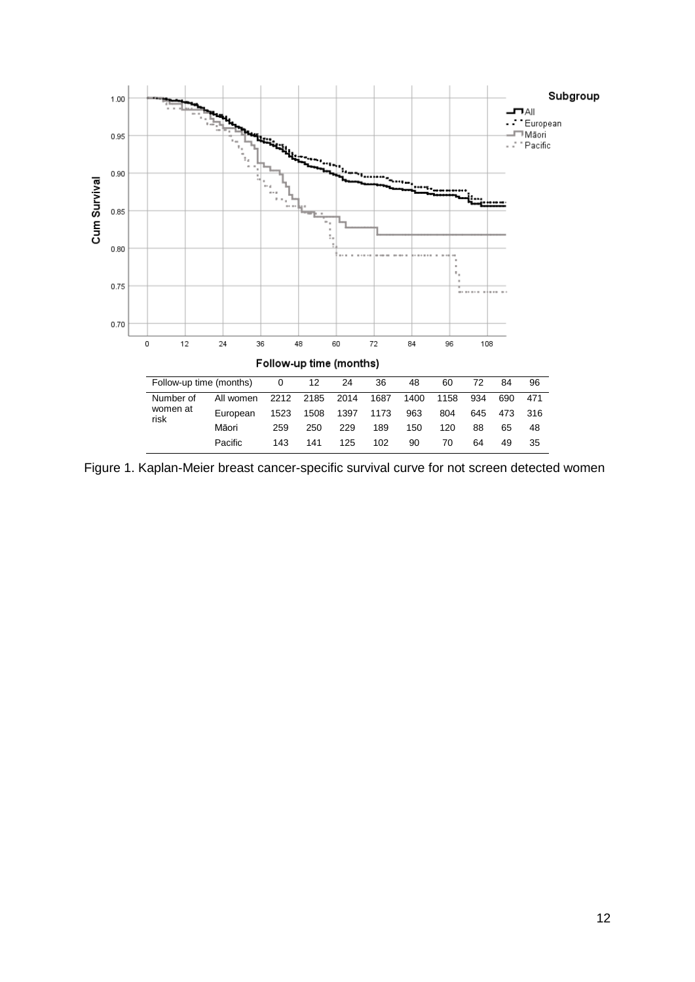

Figure 1. Kaplan-Meier breast cancer-specific survival curve for not screen detected women